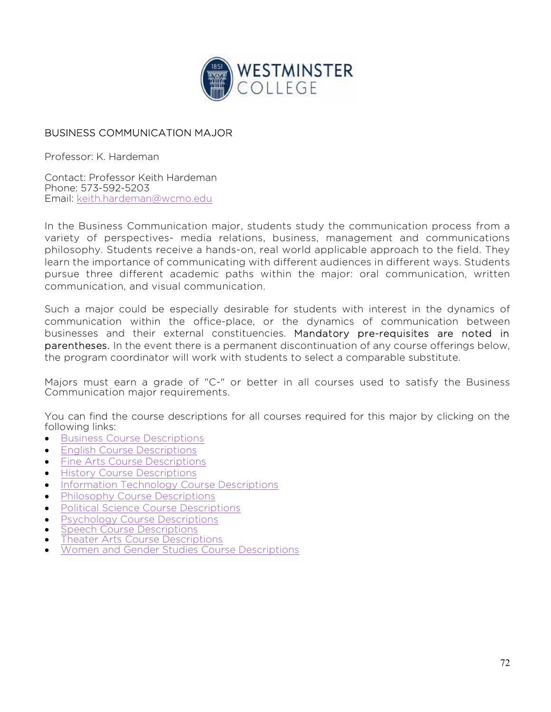

## BUSINESS COMMUNICATION MAJOR

Professor: K. Hardeman

Contact: Professor Keith Hardeman Phone: 573-592-5203 Email: keith.hardeman@wcmo.edu

In the Business Communication major, students study the communication process from a variety of perspectives- media relations, business, management and communications philosophy. Students receive a hands-on, real world applicable approach to the field. They learn the importance of communicating with different audiences in different ways. Students pursue three different academic paths within the major: oral communication, written communication, and visual communication.

Such a major could be especially desirable for students with interest in the dynamics of communication within the office-place, or the dynamics of communication between businesses and their external constituencies. Mandatory pre-requisites are noted in parentheses. In the event there is a permanent discontinuation of any course offerings below, the program coordinator will work with students to select a comparable substitute.

Majors must earn a grade of "C-" or better in all courses used to satisfy the Business Communication major requirements.

You can find the course descriptions for all courses required for this major by clicking on the following links:

- Business Course Descriptions
- **English Course Descriptions**
- **•** Fine Arts Course Descriptions
- **•** History Course Descriptions
- Information Technology Course Descriptions
- Philosophy Course Descriptions
- Political Science Course Descriptions
- **•** Psychology Course Descriptions
- Speech Course Descriptions
- Theater Arts Course Descriptions
- Women and Gender Studies Course Descriptions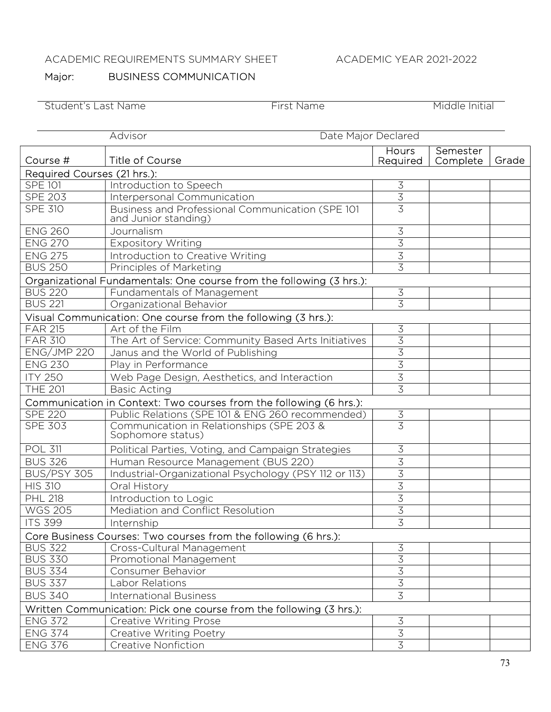## ACADEMIC REQUIREMENTS SUMMARY SHEET ACADEMIC YEAR 2021-2022

## Major: **BUSINESS COMMUNICATION**

Student's Last Name First Name First Name Middle Initial

| Date Major Declared<br>Advisor |                                                                          |                          |                      |       |  |
|--------------------------------|--------------------------------------------------------------------------|--------------------------|----------------------|-------|--|
| Course #                       | <b>Title of Course</b>                                                   | <b>Hours</b><br>Required | Semester<br>Complete | Grade |  |
| Required Courses (21 hrs.):    |                                                                          |                          |                      |       |  |
| <b>SPE 101</b>                 | Introduction to Speech                                                   | $\mathfrak{Z}$           |                      |       |  |
| <b>SPE 203</b>                 | Interpersonal Communication                                              | $\overline{3}$           |                      |       |  |
| <b>SPE 310</b>                 | Business and Professional Communication (SPE 101<br>and Junior standing) | $\overline{3}$           |                      |       |  |
| <b>ENG 260</b>                 | Journalism                                                               | $\mathfrak{Z}$           |                      |       |  |
| <b>ENG 270</b>                 | <b>Expository Writing</b>                                                | $\overline{3}$           |                      |       |  |
| <b>ENG 275</b>                 | Introduction to Creative Writing                                         | $\overline{3}$           |                      |       |  |
| <b>BUS 250</b>                 | Principles of Marketing                                                  | $\overline{3}$           |                      |       |  |
|                                | Organizational Fundamentals: One course from the following (3 hrs.):     |                          |                      |       |  |
| <b>BUS 220</b>                 | Fundamentals of Management                                               | $\overline{3}$           |                      |       |  |
| <b>BUS 221</b>                 | Organizational Behavior                                                  | $\overline{3}$           |                      |       |  |
|                                | Visual Communication: One course from the following (3 hrs.):            |                          |                      |       |  |
| <b>FAR 215</b>                 | Art of the Film                                                          | $\overline{3}$           |                      |       |  |
| <b>FAR 310</b>                 | The Art of Service: Community Based Arts Initiatives                     | $\overline{3}$           |                      |       |  |
| <b>ENG/JMP 220</b>             | Janus and the World of Publishing                                        | $\overline{3}$           |                      |       |  |
| <b>ENG 230</b>                 | Play in Performance                                                      | $\overline{3}$           |                      |       |  |
| <b>ITY 250</b>                 | Web Page Design, Aesthetics, and Interaction                             | $\overline{3}$           |                      |       |  |
| <b>THE 201</b>                 | <b>Basic Acting</b>                                                      | 3                        |                      |       |  |
|                                | Communication in Context: Two courses from the following (6 hrs.):       |                          |                      |       |  |
| <b>SPE 220</b>                 | Public Relations (SPE 101 & ENG 260 recommended)                         | $\overline{3}$           |                      |       |  |
| <b>SPE 303</b>                 | Communication in Relationships (SPE 203 &<br>Sophomore status)           | $\overline{3}$           |                      |       |  |
| <b>POL 311</b>                 | Political Parties, Voting, and Campaign Strategies                       | $\overline{3}$           |                      |       |  |
| <b>BUS 326</b>                 | Human Resource Management (BUS 220)                                      | $\mathfrak{Z}$           |                      |       |  |
| BUS/PSY 305                    | Industrial-Organizational Psychology (PSY 112 or 113)                    | $\overline{3}$           |                      |       |  |
| <b>HIS 310</b>                 | Oral History                                                             | $\overline{3}$           |                      |       |  |
| <b>PHL 218</b>                 | Introduction to Logic                                                    | $\frac{3}{3}$            |                      |       |  |
| <b>WGS 205</b>                 | Mediation and Conflict Resolution                                        |                          |                      |       |  |
| <b>ITS 399</b>                 | Internship                                                               | $\overline{3}$           |                      |       |  |
|                                | Core Business Courses: Two courses from the following (6 hrs.):          |                          |                      |       |  |
| <b>BUS 322</b>                 | Cross-Cultural Management                                                | $\mathfrak{Z}$           |                      |       |  |
| <b>BUS 330</b>                 | Promotional Management                                                   | $\overline{3}$           |                      |       |  |
| <b>BUS 334</b>                 | Consumer Behavior                                                        | $\overline{3}$           |                      |       |  |
| <b>BUS 337</b>                 | Labor Relations                                                          | $\overline{3}$           |                      |       |  |
| <b>BUS 340</b>                 | <b>International Business</b>                                            | $\overline{3}$           |                      |       |  |
|                                | Written Communication: Pick one course from the following (3 hrs.):      |                          |                      |       |  |
| <b>ENG 372</b>                 | <b>Creative Writing Prose</b>                                            | $\overline{3}$           |                      |       |  |
| <b>ENG 374</b>                 | Creative Writing Poetry                                                  | $\overline{3}$           |                      |       |  |
| <b>ENG 376</b>                 | Creative Nonfiction                                                      | $\overline{3}$           |                      |       |  |